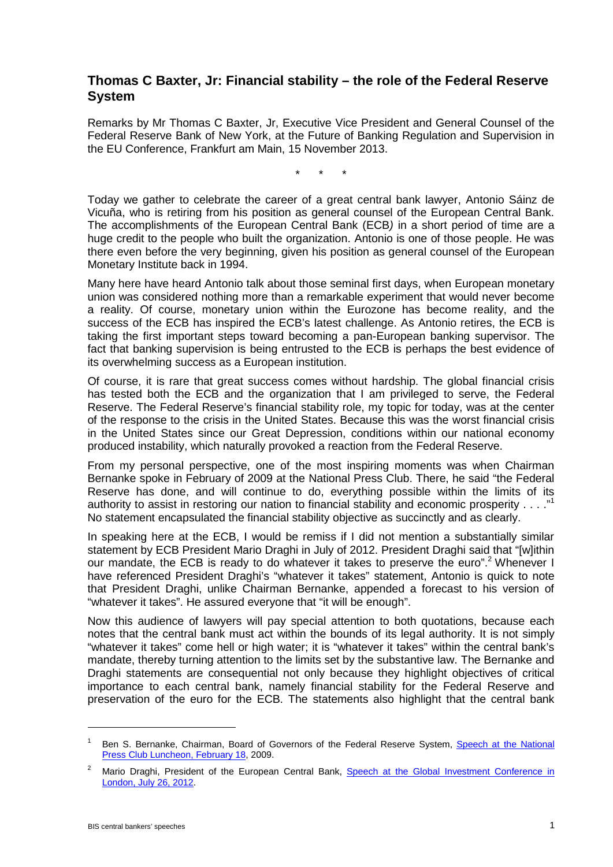## **Thomas C Baxter, Jr: Financial stability – the role of the Federal Reserve System**

Remarks by Mr Thomas C Baxter, Jr, Executive Vice President and General Counsel of the Federal Reserve Bank of New York, at the Future of Banking Regulation and Supervision in the EU Conference, Frankfurt am Main, 15 November 2013.

\* \* \*

Today we gather to celebrate the career of a great central bank lawyer, Antonio Sáinz de Vicuña, who is retiring from his position as general counsel of the European Central Bank. The accomplishments of the European Central Bank (ECB*)* in a short period of time are a huge credit to the people who built the organization. Antonio is one of those people. He was there even before the very beginning, given his position as general counsel of the European Monetary Institute back in 1994.

Many here have heard Antonio talk about those seminal first days, when European monetary union was considered nothing more than a remarkable experiment that would never become a reality. Of course, monetary union within the Eurozone has become reality, and the success of the ECB has inspired the ECB's latest challenge. As Antonio retires, the ECB is taking the first important steps toward becoming a pan-European banking supervisor. The fact that banking supervision is being entrusted to the ECB is perhaps the best evidence of its overwhelming success as a European institution.

Of course, it is rare that great success comes without hardship. The global financial crisis has tested both the ECB and the organization that I am privileged to serve, the Federal Reserve. The Federal Reserve's financial stability role, my topic for today, was at the center of the response to the crisis in the United States. Because this was the worst financial crisis in the United States since our Great Depression, conditions within our national economy produced instability, which naturally provoked a reaction from the Federal Reserve.

From my personal perspective, one of the most inspiring moments was when Chairman Bernanke spoke in February of 2009 at the National Press Club. There, he said "the Federal Reserve has done, and will continue to do, everything possible within the limits of its authority to assist in restoring our nation to financial stability and economic prosperity  $\dots$ ."<sup>1</sup> No statement encapsulated the financial stability objective as succinctly and as clearly.

In speaking here at the ECB, I would be remiss if I did not mention a substantially similar statement by ECB President Mario Draghi in July of 2012. President Draghi said that "[w]ithin our mandate, the ECB is ready to do whatever it takes to preserve the euro".<sup>2</sup> Whenever I have referenced President Draghi's "whatever it takes" statement, Antonio is quick to note that President Draghi, unlike Chairman Bernanke, appended a forecast to his version of "whatever it takes". He assured everyone that "it will be enough".

Now this audience of lawyers will pay special attention to both quotations, because each notes that the central bank must act within the bounds of its legal authority. It is not simply "whatever it takes" come hell or high water; it is "whatever it takes" within the central bank's mandate, thereby turning attention to the limits set by the substantive law. The Bernanke and Draghi statements are consequential not only because they highlight objectives of critical importance to each central bank, namely financial stability for the Federal Reserve and preservation of the euro for the ECB. The statements also highlight that the central bank

-

Ben S. Bernanke, Chairman, Board of Governors of the Federal Reserve System, Speech at the National [Press Club Luncheon, February 18, 2009.](http://www.federalreserve.gov/newsevents/speech/bernanke20090218a.htm)

<sup>&</sup>lt;sup>2</sup> Mario Draghi, President of the European Central Bank, Speech at the Global Investment Conference in [London, July 26, 2012.](http://www.ecb.europa.eu/press/key/date/2012/html/sp120726.en.html)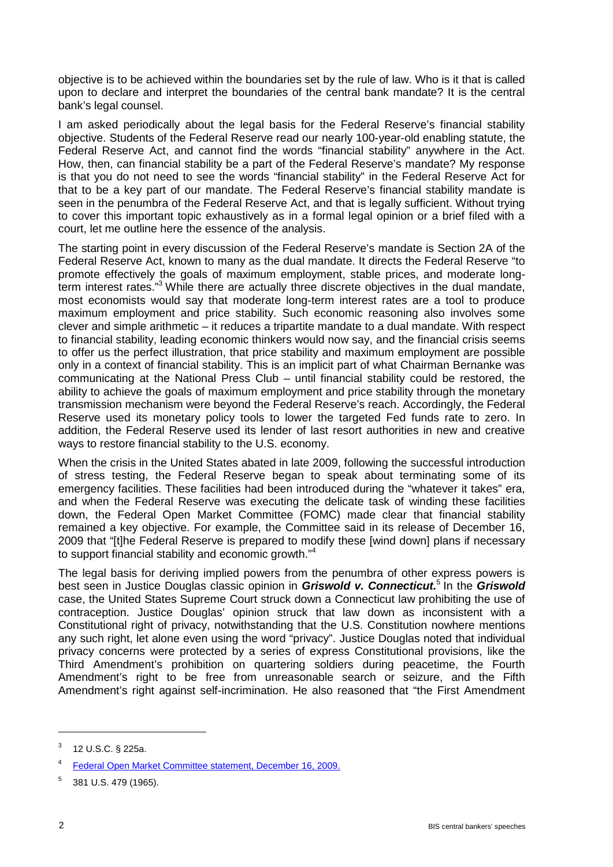objective is to be achieved within the boundaries set by the rule of law. Who is it that is called upon to declare and interpret the boundaries of the central bank mandate? It is the central bank's legal counsel.

I am asked periodically about the legal basis for the Federal Reserve's financial stability objective. Students of the Federal Reserve read our nearly 100-year-old enabling statute, the Federal Reserve Act, and cannot find the words "financial stability" anywhere in the Act. How, then, can financial stability be a part of the Federal Reserve's mandate? My response is that you do not need to see the words "financial stability" in the Federal Reserve Act for that to be a key part of our mandate. The Federal Reserve's financial stability mandate is seen in the penumbra of the Federal Reserve Act, and that is legally sufficient. Without trying to cover this important topic exhaustively as in a formal legal opinion or a brief filed with a court, let me outline here the essence of the analysis.

The starting point in every discussion of the Federal Reserve's mandate is Section 2A of the Federal Reserve Act, known to many as the dual mandate. It directs the Federal Reserve "to promote effectively the goals of maximum employment, stable prices, and moderate longterm interest rates."3 While there are actually three discrete objectives in the dual mandate, most economists would say that moderate long-term interest rates are a tool to produce maximum employment and price stability. Such economic reasoning also involves some clever and simple arithmetic – it reduces a tripartite mandate to a dual mandate. With respect to financial stability, leading economic thinkers would now say, and the financial crisis seems to offer us the perfect illustration, that price stability and maximum employment are possible only in a context of financial stability. This is an implicit part of what Chairman Bernanke was communicating at the National Press Club – until financial stability could be restored, the ability to achieve the goals of maximum employment and price stability through the monetary transmission mechanism were beyond the Federal Reserve's reach. Accordingly, the Federal Reserve used its monetary policy tools to lower the targeted Fed funds rate to zero. In addition, the Federal Reserve used its lender of last resort authorities in new and creative ways to restore financial stability to the U.S. economy.

When the crisis in the United States abated in late 2009, following the successful introduction of stress testing, the Federal Reserve began to speak about terminating some of its emergency facilities. These facilities had been introduced during the "whatever it takes" era, and when the Federal Reserve was executing the delicate task of winding these facilities down, the Federal Open Market Committee (FOMC) made clear that financial stability remained a key objective. For example, the Committee said in its release of December 16, 2009 that "[t]he Federal Reserve is prepared to modify these [wind down] plans if necessary to support financial stability and economic growth."<sup>4</sup>

The legal basis for deriving implied powers from the penumbra of other express powers is best seen in Justice Douglas classic opinion in *Griswold v. Connecticut.*<sup>5</sup> In the *Griswold*  case, the United States Supreme Court struck down a Connecticut law prohibiting the use of contraception. Justice Douglas' opinion struck that law down as inconsistent with a Constitutional right of privacy, notwithstanding that the U.S. Constitution nowhere mentions any such right, let alone even using the word "privacy". Justice Douglas noted that individual privacy concerns were protected by a series of express Constitutional provisions, like the Third Amendment's prohibition on quartering soldiers during peacetime, the Fourth Amendment's right to be free from unreasonable search or seizure, and the Fifth Amendment's right against self-incrimination. He also reasoned that "the First Amendment

-

 $3$  12 U.S.C. § 225a.

<sup>4</sup> [Federal Open Market Committee statement, December 16, 2009.](http://www.federalreserve.gov/newsevents/press/monetary/20091216a.htm)

<sup>5</sup> 381 U.S. 479 (1965).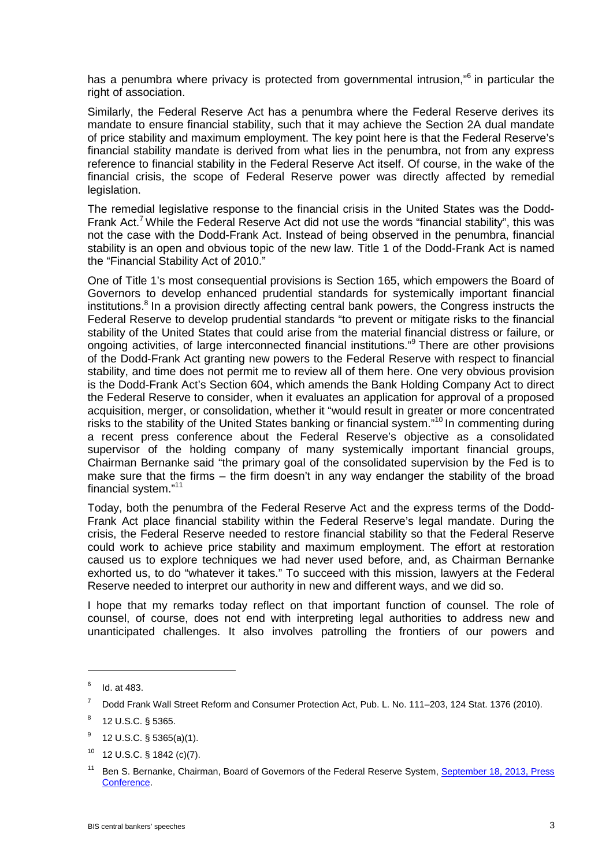has a penumbra where privacy is protected from governmental intrusion,"<sup>6</sup> in particular the right of association.

Similarly, the Federal Reserve Act has a penumbra where the Federal Reserve derives its mandate to ensure financial stability, such that it may achieve the Section 2A dual mandate of price stability and maximum employment. The key point here is that the Federal Reserve's financial stability mandate is derived from what lies in the penumbra, not from any express reference to financial stability in the Federal Reserve Act itself. Of course, in the wake of the financial crisis, the scope of Federal Reserve power was directly affected by remedial legislation.

The remedial legislative response to the financial crisis in the United States was the Dodd-Frank Act.<sup>7</sup> While the Federal Reserve Act did not use the words "financial stability", this was not the case with the Dodd-Frank Act. Instead of being observed in the penumbra, financial stability is an open and obvious topic of the new law. Title 1 of the Dodd-Frank Act is named the "Financial Stability Act of 2010."

One of Title 1's most consequential provisions is Section 165, which empowers the Board of Governors to develop enhanced prudential standards for systemically important financial institutions.<sup>8</sup> In a provision directly affecting central bank powers, the Congress instructs the Federal Reserve to develop prudential standards "to prevent or mitigate risks to the financial stability of the United States that could arise from the material financial distress or failure, or ongoing activities, of large interconnected financial institutions."<sup>9</sup> There are other provisions of the Dodd-Frank Act granting new powers to the Federal Reserve with respect to financial stability, and time does not permit me to review all of them here. One very obvious provision is the Dodd-Frank Act's Section 604, which amends the Bank Holding Company Act to direct the Federal Reserve to consider, when it evaluates an application for approval of a proposed acquisition, merger, or consolidation, whether it "would result in greater or more concentrated risks to the stability of the United States banking or financial system."<sup>10</sup> In commenting during a recent press conference about the Federal Reserve's objective as a consolidated supervisor of the holding company of many systemically important financial groups, Chairman Bernanke said "the primary goal of the consolidated supervision by the Fed is to make sure that the firms – the firm doesn't in any way endanger the stability of the broad financial system."11

Today, both the penumbra of the Federal Reserve Act and the express terms of the Dodd-Frank Act place financial stability within the Federal Reserve's legal mandate. During the crisis, the Federal Reserve needed to restore financial stability so that the Federal Reserve could work to achieve price stability and maximum employment. The effort at restoration caused us to explore techniques we had never used before, and, as Chairman Bernanke exhorted us, to do "whatever it takes." To succeed with this mission, lawyers at the Federal Reserve needed to interpret our authority in new and different ways, and we did so.

I hope that my remarks today reflect on that important function of counsel. The role of counsel, of course, does not end with interpreting legal authorities to address new and unanticipated challenges. It also involves patrolling the frontiers of our powers and

-

 $6$  Id. at 483.

<sup>7</sup> Dodd Frank Wall Street Reform and Consumer Protection Act, Pub. L. No. 111–203, 124 Stat. 1376 (2010).

<sup>8</sup> 12 U.S.C. § 5365.

 $9$  12 U.S.C. § 5365(a)(1).

 $10$  12 U.S.C. § 1842 (c)(7).

<sup>&</sup>lt;sup>11</sup> Ben S. Bernanke, Chairman, Board of Governors of the Federal Reserve System, September 18, 2013, Press [Conference.](http://www.federalreserve.gov/mediacenter/files/FOMCpresconf20130918.pdf)